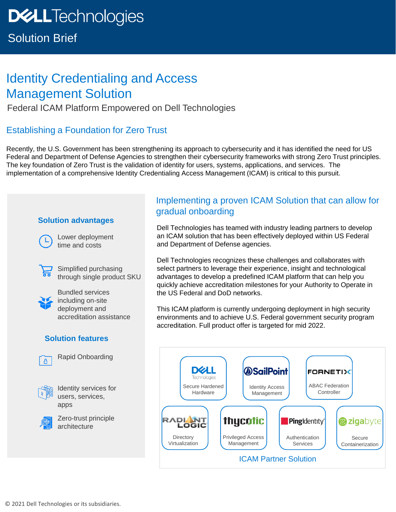## Solution Brief

# Identity Credentialing and Access Management Solution

Federal ICAM Platform Empowered on Dell Technologies

### Establishing a Foundation for Zero Trust

Recently, the U.S. Government has been strengthening its approach to cybersecurity and it has identified the need for US Federal and Department of Defense Agencies to strengthen their cybersecurity frameworks with strong Zero Trust principles. The key foundation of Zero Trust is the validation of identity for users, systems, applications, and services. The implementation of a comprehensive Identity Credentialing Access Management (ICAM) is critical to this pursuit.

### **Solution advantages**

Lower deployment time and costs



 $\Box$  Simplified purchasing through single product SKU



Bundled services including on-site deployment and accreditation assistance

### **Solution features**



Rapid Onboarding



Identity services for users, services, apps

Zero-trust principle architecture

### Implementing a proven ICAM Solution that can allow for gradual onboarding

Dell Technologies has teamed with industry leading partners to develop an ICAM solution that has been effectively deployed within US Federal and Department of Defense agencies.

Dell Technologies recognizes these challenges and collaborates with select partners to leverage their experience, insight and technological advantages to develop a predefined ICAM platform that can help you quickly achieve accreditation milestones for your Authority to Operate in the US Federal and DoD networks.

This ICAM platform is currently undergoing deployment in high security environments and to achieve U.S. Federal government security program accreditation. Full product offer is targeted for mid 2022.